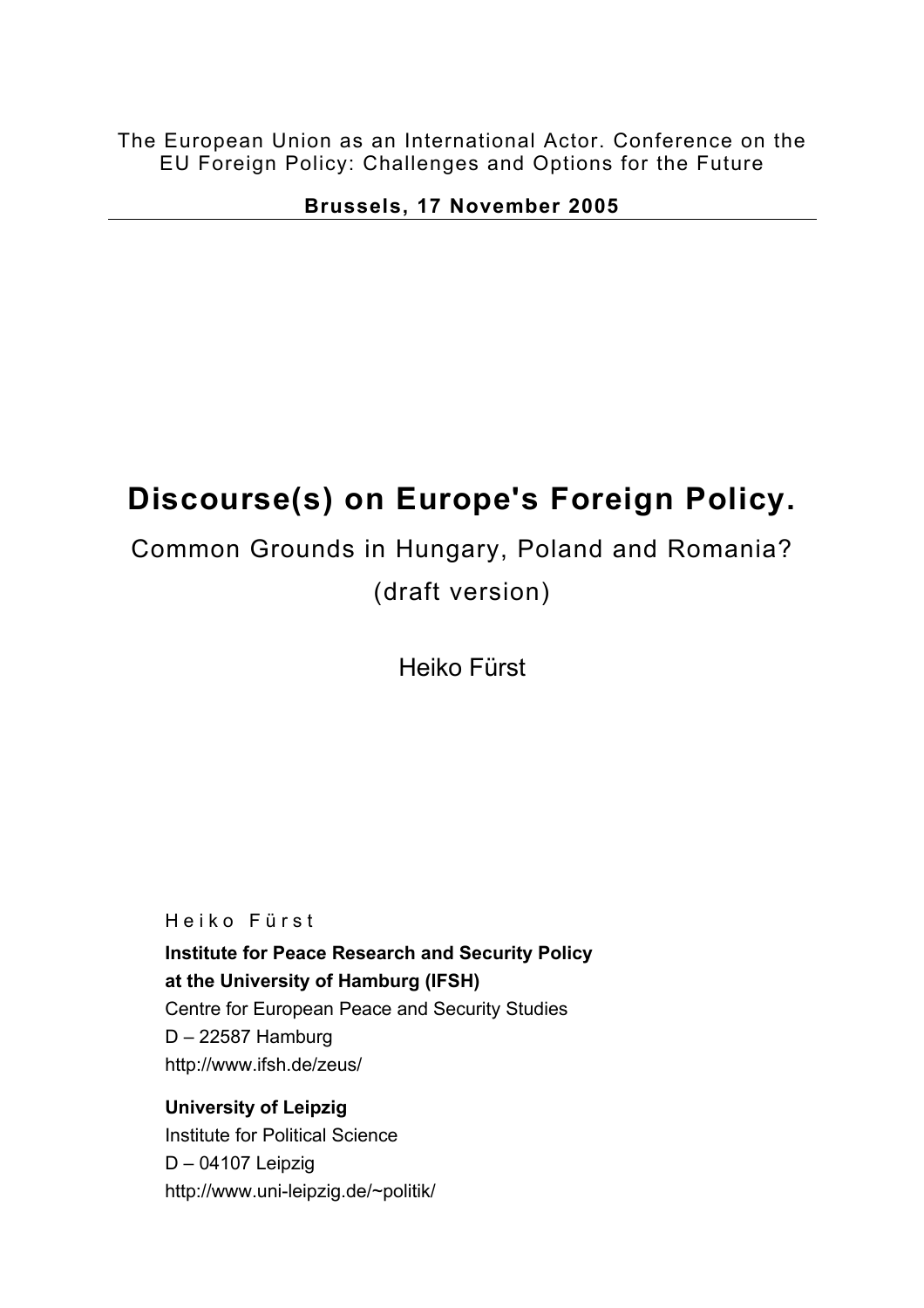The European Union as an International Actor. Conference on the EU Foreign Policy: Challenges and Options for the Future

**Brussels, 17 November 2005** 

# **Discourse(s) on Europe's Foreign Policy.**

Common Grounds in Hungary, Poland and Romania? (draft version)

Heiko Fürst

Heiko Fürst

**Institute for Peace Research and Security Policy at the University of Hamburg (IFSH)** Centre for European Peace and Security Studies D – 22587 Hamburg http://www.ifsh.de/zeus/

**University of Leipzig**  Institute for Political Science D – 04107 Leipzig http://www.uni-leipzig.de/~politik/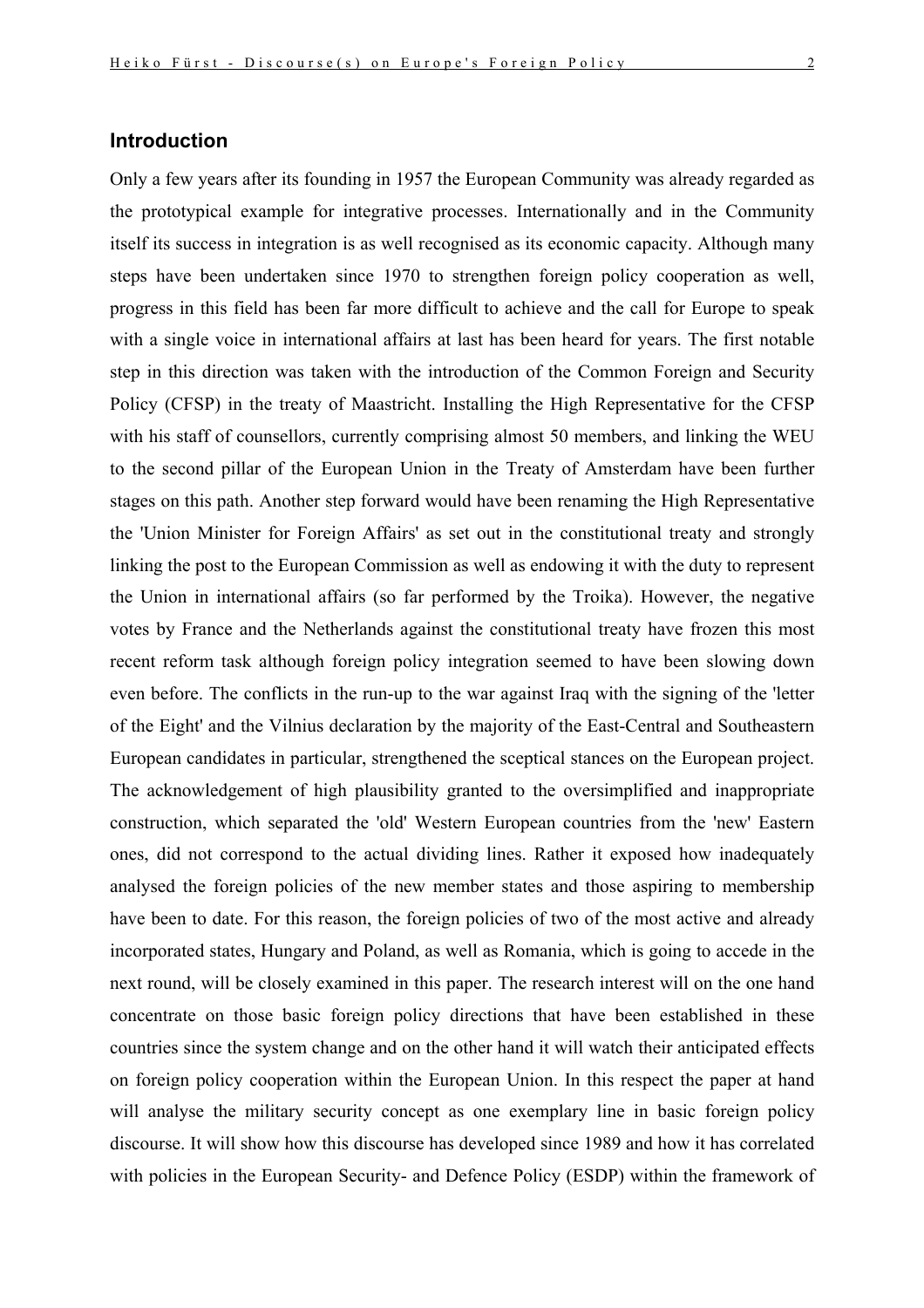## **Introduction**

Only a few years after its founding in 1957 the European Community was already regarded as the prototypical example for integrative processes. Internationally and in the Community itself its success in integration is as well recognised as its economic capacity. Although many steps have been undertaken since 1970 to strengthen foreign policy cooperation as well, progress in this field has been far more difficult to achieve and the call for Europe to speak with a single voice in international affairs at last has been heard for years. The first notable step in this direction was taken with the introduction of the Common Foreign and Security Policy (CFSP) in the treaty of Maastricht. Installing the High Representative for the CFSP with his staff of counsellors, currently comprising almost 50 members, and linking the WEU to the second pillar of the European Union in the Treaty of Amsterdam have been further stages on this path. Another step forward would have been renaming the High Representative the 'Union Minister for Foreign Affairs' as set out in the constitutional treaty and strongly linking the post to the European Commission as well as endowing it with the duty to represent the Union in international affairs (so far performed by the Troika). However, the negative votes by France and the Netherlands against the constitutional treaty have frozen this most recent reform task although foreign policy integration seemed to have been slowing down even before. The conflicts in the run-up to the war against Iraq with the signing of the 'letter of the Eight' and the Vilnius declaration by the majority of the East-Central and Southeastern European candidates in particular, strengthened the sceptical stances on the European project. The acknowledgement of high plausibility granted to the oversimplified and inappropriate construction, which separated the 'old' Western European countries from the 'new' Eastern ones, did not correspond to the actual dividing lines. Rather it exposed how inadequately analysed the foreign policies of the new member states and those aspiring to membership have been to date. For this reason, the foreign policies of two of the most active and already incorporated states, Hungary and Poland, as well as Romania, which is going to accede in the next round, will be closely examined in this paper. The research interest will on the one hand concentrate on those basic foreign policy directions that have been established in these countries since the system change and on the other hand it will watch their anticipated effects on foreign policy cooperation within the European Union. In this respect the paper at hand will analyse the military security concept as one exemplary line in basic foreign policy discourse. It will show how this discourse has developed since 1989 and how it has correlated with policies in the European Security- and Defence Policy (ESDP) within the framework of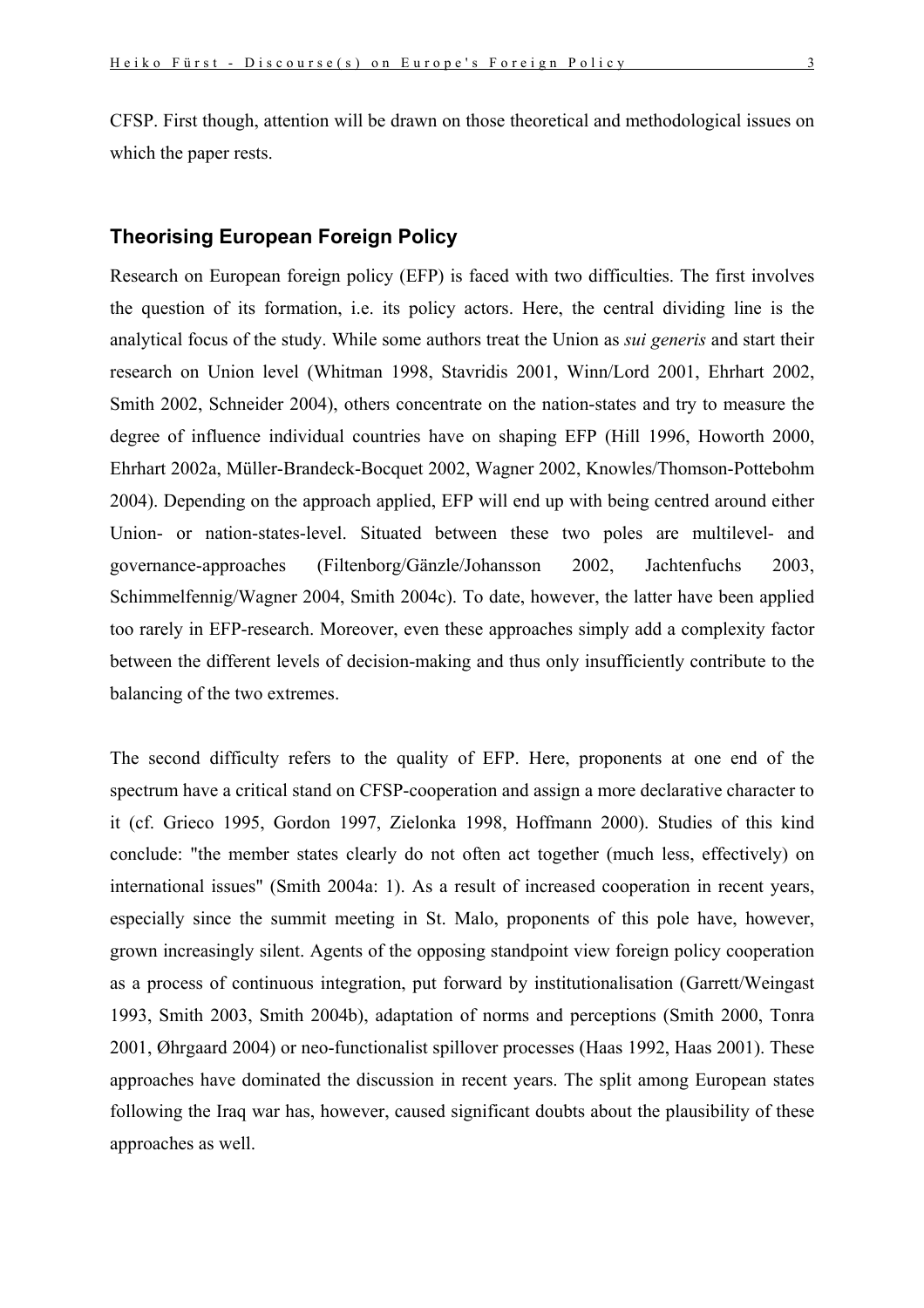CFSP. First though, attention will be drawn on those theoretical and methodological issues on which the paper rests.

### **Theorising European Foreign Policy**

Research on European foreign policy (EFP) is faced with two difficulties. The first involves the question of its formation, i.e. its policy actors. Here, the central dividing line is the analytical focus of the study. While some authors treat the Union as *sui generis* and start their research on Union level (Whitman 1998, Stavridis 2001, Winn/Lord 2001, Ehrhart 2002, Smith 2002, Schneider 2004), others concentrate on the nation-states and try to measure the degree of influence individual countries have on shaping EFP (Hill 1996, Howorth 2000, Ehrhart 2002a, Müller-Brandeck-Bocquet 2002, Wagner 2002, Knowles/Thomson-Pottebohm 2004). Depending on the approach applied, EFP will end up with being centred around either Union- or nation-states-level. Situated between these two poles are multilevel- and governance-approaches (Filtenborg/Gänzle/Johansson 2002, Jachtenfuchs 2003, Schimmelfennig/Wagner 2004, Smith 2004c). To date, however, the latter have been applied too rarely in EFP-research. Moreover, even these approaches simply add a complexity factor between the different levels of decision-making and thus only insufficiently contribute to the balancing of the two extremes.

The second difficulty refers to the quality of EFP. Here, proponents at one end of the spectrum have a critical stand on CFSP-cooperation and assign a more declarative character to it (cf. Grieco 1995, Gordon 1997, Zielonka 1998, Hoffmann 2000). Studies of this kind conclude: "the member states clearly do not often act together (much less, effectively) on international issues" (Smith 2004a: 1). As a result of increased cooperation in recent years, especially since the summit meeting in St. Malo, proponents of this pole have, however, grown increasingly silent. Agents of the opposing standpoint view foreign policy cooperation as a process of continuous integration, put forward by institutionalisation (Garrett/Weingast 1993, Smith 2003, Smith 2004b), adaptation of norms and perceptions (Smith 2000, Tonra 2001, Øhrgaard 2004) or neo-functionalist spillover processes (Haas 1992, Haas 2001). These approaches have dominated the discussion in recent years. The split among European states following the Iraq war has, however, caused significant doubts about the plausibility of these approaches as well.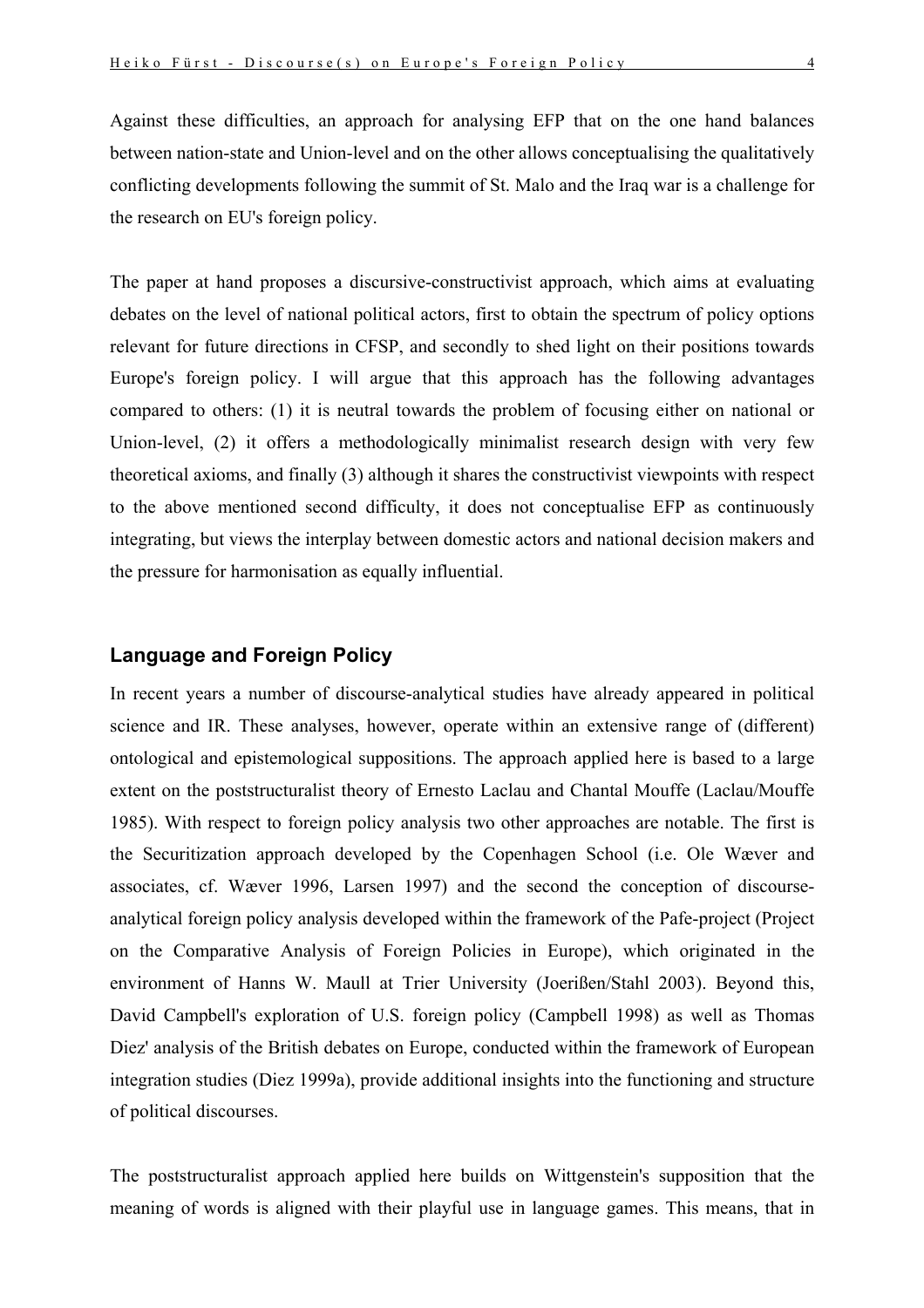Against these difficulties, an approach for analysing EFP that on the one hand balances between nation-state and Union-level and on the other allows conceptualising the qualitatively conflicting developments following the summit of St. Malo and the Iraq war is a challenge for the research on EU's foreign policy.

The paper at hand proposes a discursive-constructivist approach, which aims at evaluating debates on the level of national political actors, first to obtain the spectrum of policy options relevant for future directions in CFSP, and secondly to shed light on their positions towards Europe's foreign policy. I will argue that this approach has the following advantages compared to others: (1) it is neutral towards the problem of focusing either on national or Union-level, (2) it offers a methodologically minimalist research design with very few theoretical axioms, and finally (3) although it shares the constructivist viewpoints with respect to the above mentioned second difficulty, it does not conceptualise EFP as continuously integrating, but views the interplay between domestic actors and national decision makers and the pressure for harmonisation as equally influential.

# **Language and Foreign Policy**

In recent years a number of discourse-analytical studies have already appeared in political science and IR. These analyses, however, operate within an extensive range of (different) ontological and epistemological suppositions. The approach applied here is based to a large extent on the poststructuralist theory of Ernesto Laclau and Chantal Mouffe (Laclau/Mouffe 1985). With respect to foreign policy analysis two other approaches are notable. The first is the Securitization approach developed by the Copenhagen School (i.e. Ole Wæver and associates, cf. Wæver 1996, Larsen 1997) and the second the conception of discourseanalytical foreign policy analysis developed within the framework of the Pafe-project (Project on the Comparative Analysis of Foreign Policies in Europe), which originated in the environment of Hanns W. Maull at Trier University (Joerißen/Stahl 2003). Beyond this, David Campbell's exploration of U.S. foreign policy (Campbell 1998) as well as Thomas Diez' analysis of the British debates on Europe, conducted within the framework of European integration studies (Diez 1999a), provide additional insights into the functioning and structure of political discourses.

The poststructuralist approach applied here builds on Wittgenstein's supposition that the meaning of words is aligned with their playful use in language games. This means, that in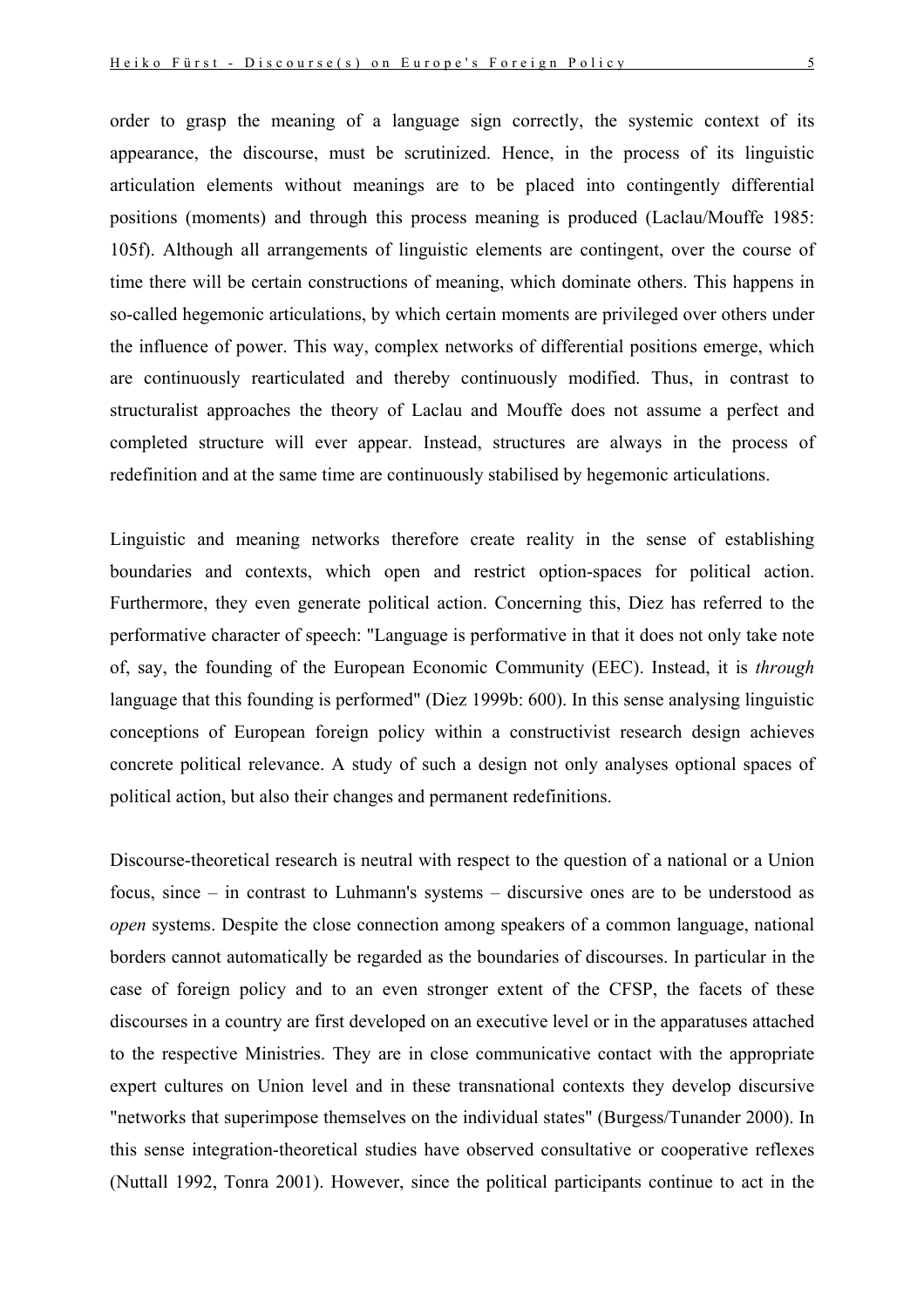order to grasp the meaning of a language sign correctly, the systemic context of its appearance, the discourse, must be scrutinized. Hence, in the process of its linguistic articulation elements without meanings are to be placed into contingently differential positions (moments) and through this process meaning is produced (Laclau/Mouffe 1985: 105f). Although all arrangements of linguistic elements are contingent, over the course of time there will be certain constructions of meaning, which dominate others. This happens in so-called hegemonic articulations, by which certain moments are privileged over others under the influence of power. This way, complex networks of differential positions emerge, which are continuously rearticulated and thereby continuously modified. Thus, in contrast to structuralist approaches the theory of Laclau and Mouffe does not assume a perfect and completed structure will ever appear. Instead, structures are always in the process of redefinition and at the same time are continuously stabilised by hegemonic articulations.

Linguistic and meaning networks therefore create reality in the sense of establishing boundaries and contexts, which open and restrict option-spaces for political action. Furthermore, they even generate political action. Concerning this, Diez has referred to the performative character of speech: "Language is performative in that it does not only take note of, say, the founding of the European Economic Community (EEC). Instead, it is *through* language that this founding is performed" (Diez 1999b: 600). In this sense analysing linguistic conceptions of European foreign policy within a constructivist research design achieves concrete political relevance. A study of such a design not only analyses optional spaces of political action, but also their changes and permanent redefinitions.

Discourse-theoretical research is neutral with respect to the question of a national or a Union focus, since – in contrast to Luhmann's systems – discursive ones are to be understood as *open* systems. Despite the close connection among speakers of a common language, national borders cannot automatically be regarded as the boundaries of discourses. In particular in the case of foreign policy and to an even stronger extent of the CFSP, the facets of these discourses in a country are first developed on an executive level or in the apparatuses attached to the respective Ministries. They are in close communicative contact with the appropriate expert cultures on Union level and in these transnational contexts they develop discursive "networks that superimpose themselves on the individual states" (Burgess/Tunander 2000). In this sense integration-theoretical studies have observed consultative or cooperative reflexes (Nuttall 1992, Tonra 2001). However, since the political participants continue to act in the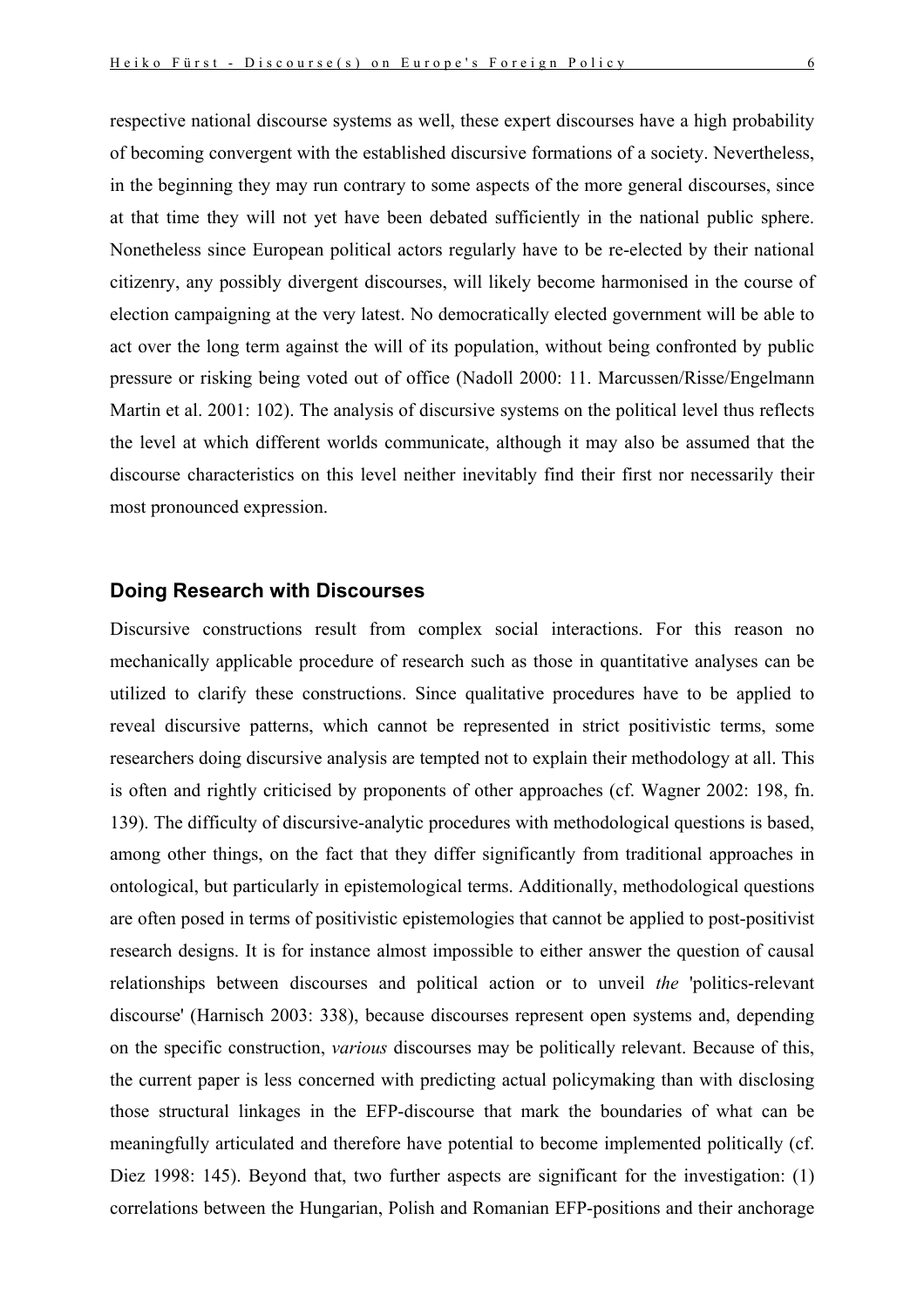respective national discourse systems as well, these expert discourses have a high probability of becoming convergent with the established discursive formations of a society. Nevertheless, in the beginning they may run contrary to some aspects of the more general discourses, since at that time they will not yet have been debated sufficiently in the national public sphere. Nonetheless since European political actors regularly have to be re-elected by their national citizenry, any possibly divergent discourses, will likely become harmonised in the course of election campaigning at the very latest. No democratically elected government will be able to act over the long term against the will of its population, without being confronted by public pressure or risking being voted out of office (Nadoll 2000: 11. Marcussen/Risse/Engelmann Martin et al. 2001: 102). The analysis of discursive systems on the political level thus reflects the level at which different worlds communicate, although it may also be assumed that the discourse characteristics on this level neither inevitably find their first nor necessarily their most pronounced expression.

## **Doing Research with Discourses**

Discursive constructions result from complex social interactions. For this reason no mechanically applicable procedure of research such as those in quantitative analyses can be utilized to clarify these constructions. Since qualitative procedures have to be applied to reveal discursive patterns, which cannot be represented in strict positivistic terms, some researchers doing discursive analysis are tempted not to explain their methodology at all. This is often and rightly criticised by proponents of other approaches (cf. Wagner 2002: 198, fn. 139). The difficulty of discursive-analytic procedures with methodological questions is based, among other things, on the fact that they differ significantly from traditional approaches in ontological, but particularly in epistemological terms. Additionally, methodological questions are often posed in terms of positivistic epistemologies that cannot be applied to post-positivist research designs. It is for instance almost impossible to either answer the question of causal relationships between discourses and political action or to unveil *the* 'politics-relevant discourse' (Harnisch 2003: 338), because discourses represent open systems and, depending on the specific construction, *various* discourses may be politically relevant. Because of this, the current paper is less concerned with predicting actual policymaking than with disclosing those structural linkages in the EFP-discourse that mark the boundaries of what can be meaningfully articulated and therefore have potential to become implemented politically (cf. Diez 1998: 145). Beyond that, two further aspects are significant for the investigation: (1) correlations between the Hungarian, Polish and Romanian EFP-positions and their anchorage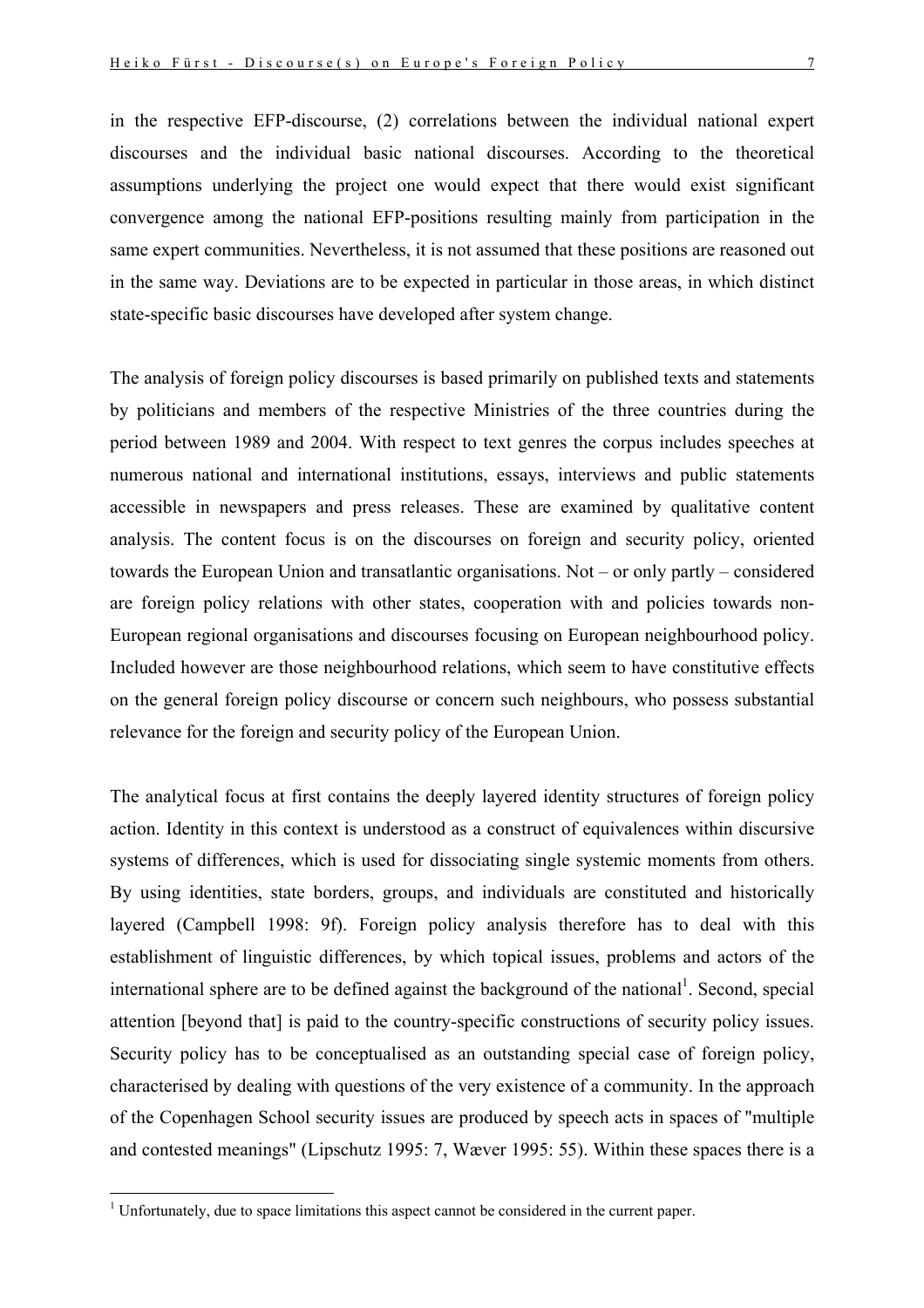in the respective EFP-discourse, (2) correlations between the individual national expert discourses and the individual basic national discourses. According to the theoretical assumptions underlying the project one would expect that there would exist significant convergence among the national EFP-positions resulting mainly from participation in the same expert communities. Nevertheless, it is not assumed that these positions are reasoned out in the same way. Deviations are to be expected in particular in those areas, in which distinct state-specific basic discourses have developed after system change.

The analysis of foreign policy discourses is based primarily on published texts and statements by politicians and members of the respective Ministries of the three countries during the period between 1989 and 2004. With respect to text genres the corpus includes speeches at numerous national and international institutions, essays, interviews and public statements accessible in newspapers and press releases. These are examined by qualitative content analysis. The content focus is on the discourses on foreign and security policy, oriented towards the European Union and transatlantic organisations. Not – or only partly – considered are foreign policy relations with other states, cooperation with and policies towards non-European regional organisations and discourses focusing on European neighbourhood policy. Included however are those neighbourhood relations, which seem to have constitutive effects on the general foreign policy discourse or concern such neighbours, who possess substantial relevance for the foreign and security policy of the European Union.

The analytical focus at first contains the deeply layered identity structures of foreign policy action. Identity in this context is understood as a construct of equivalences within discursive systems of differences, which is used for dissociating single systemic moments from others. By using identities, state borders, groups, and individuals are constituted and historically layered (Campbell 1998: 9f). Foreign policy analysis therefore has to deal with this establishment of linguistic differences, by which topical issues, problems and actors of the international sphere are to be defined against the background of the national<sup>1</sup>. Second, special attention [beyond that] is paid to the country-specific constructions of security policy issues. Security policy has to be conceptualised as an outstanding special case of foreign policy, characterised by dealing with questions of the very existence of a community. In the approach of the Copenhagen School security issues are produced by speech acts in spaces of "multiple and contested meanings" (Lipschutz 1995: 7, Wæver 1995: 55). Within these spaces there is a

1

<span id="page-6-0"></span> $<sup>1</sup>$  Unfortunately, due to space limitations this aspect cannot be considered in the current paper.</sup>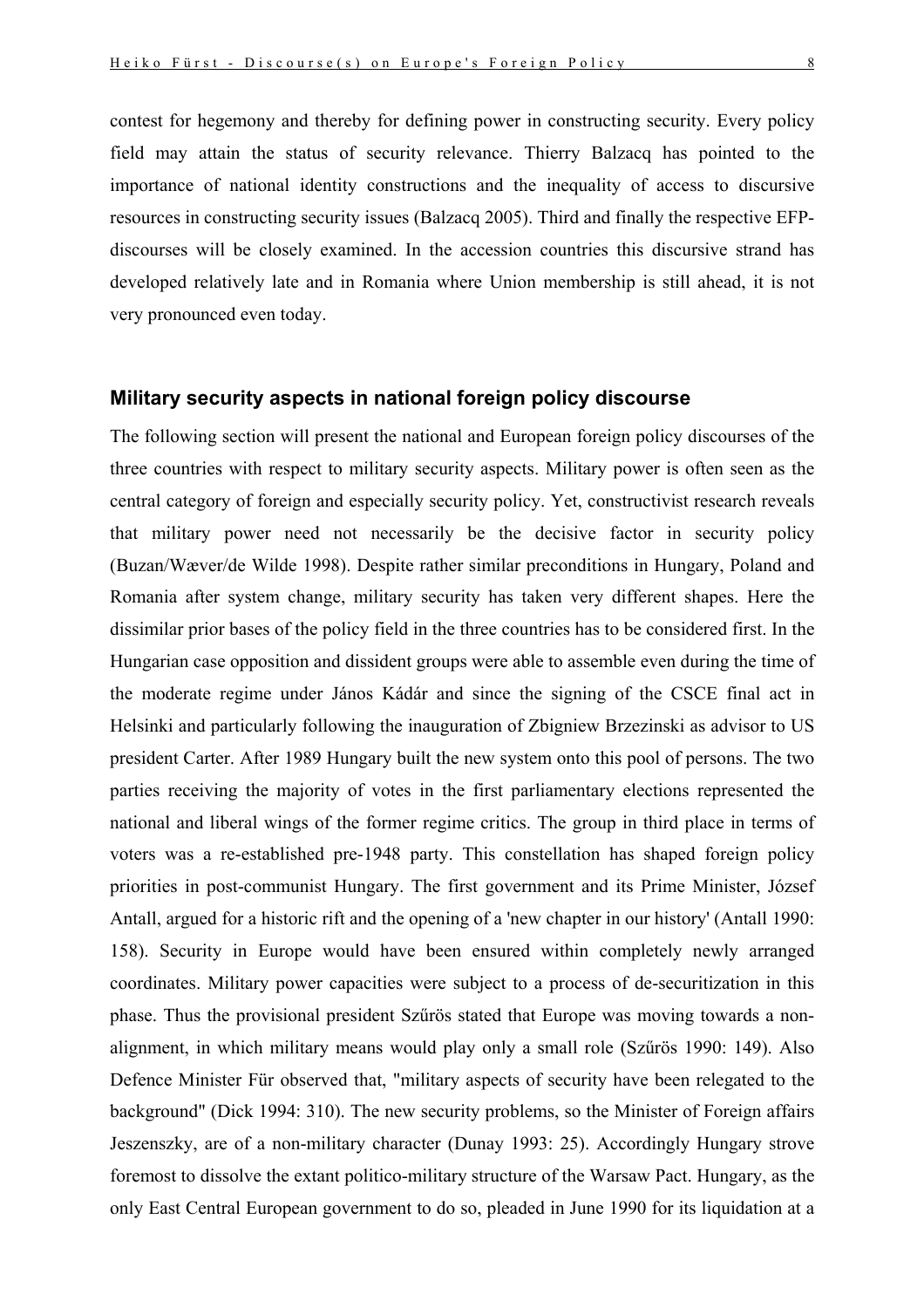contest for hegemony and thereby for defining power in constructing security. Every policy field may attain the status of security relevance. Thierry Balzacq has pointed to the importance of national identity constructions and the inequality of access to discursive resources in constructing security issues (Balzacq 2005). Third and finally the respective EFPdiscourses will be closely examined. In the accession countries this discursive strand has developed relatively late and in Romania where Union membership is still ahead, it is not very pronounced even today.

### **Military security aspects in national foreign policy discourse**

The following section will present the national and European foreign policy discourses of the three countries with respect to military security aspects. Military power is often seen as the central category of foreign and especially security policy. Yet, constructivist research reveals that military power need not necessarily be the decisive factor in security policy (Buzan/Wæver/de Wilde 1998). Despite rather similar preconditions in Hungary, Poland and Romania after system change, military security has taken very different shapes. Here the dissimilar prior bases of the policy field in the three countries has to be considered first. In the Hungarian case opposition and dissident groups were able to assemble even during the time of the moderate regime under János Kádár and since the signing of the CSCE final act in Helsinki and particularly following the inauguration of Zbigniew Brzezinski as advisor to US president Carter. After 1989 Hungary built the new system onto this pool of persons. The two parties receiving the majority of votes in the first parliamentary elections represented the national and liberal wings of the former regime critics. The group in third place in terms of voters was a re-established pre-1948 party. This constellation has shaped foreign policy priorities in post-communist Hungary. The first government and its Prime Minister, József Antall, argued for a historic rift and the opening of a 'new chapter in our history' (Antall 1990: 158). Security in Europe would have been ensured within completely newly arranged coordinates. Military power capacities were subject to a process of de-securitization in this phase. Thus the provisional president Szűrös stated that Europe was moving towards a nonalignment, in which military means would play only a small role (Szűrös 1990: 149). Also Defence Minister Für observed that, "military aspects of security have been relegated to the background" (Dick 1994: 310). The new security problems, so the Minister of Foreign affairs Jeszenszky, are of a non-military character (Dunay 1993: 25). Accordingly Hungary strove foremost to dissolve the extant politico-military structure of the Warsaw Pact. Hungary, as the only East Central European government to do so, pleaded in June 1990 for its liquidation at a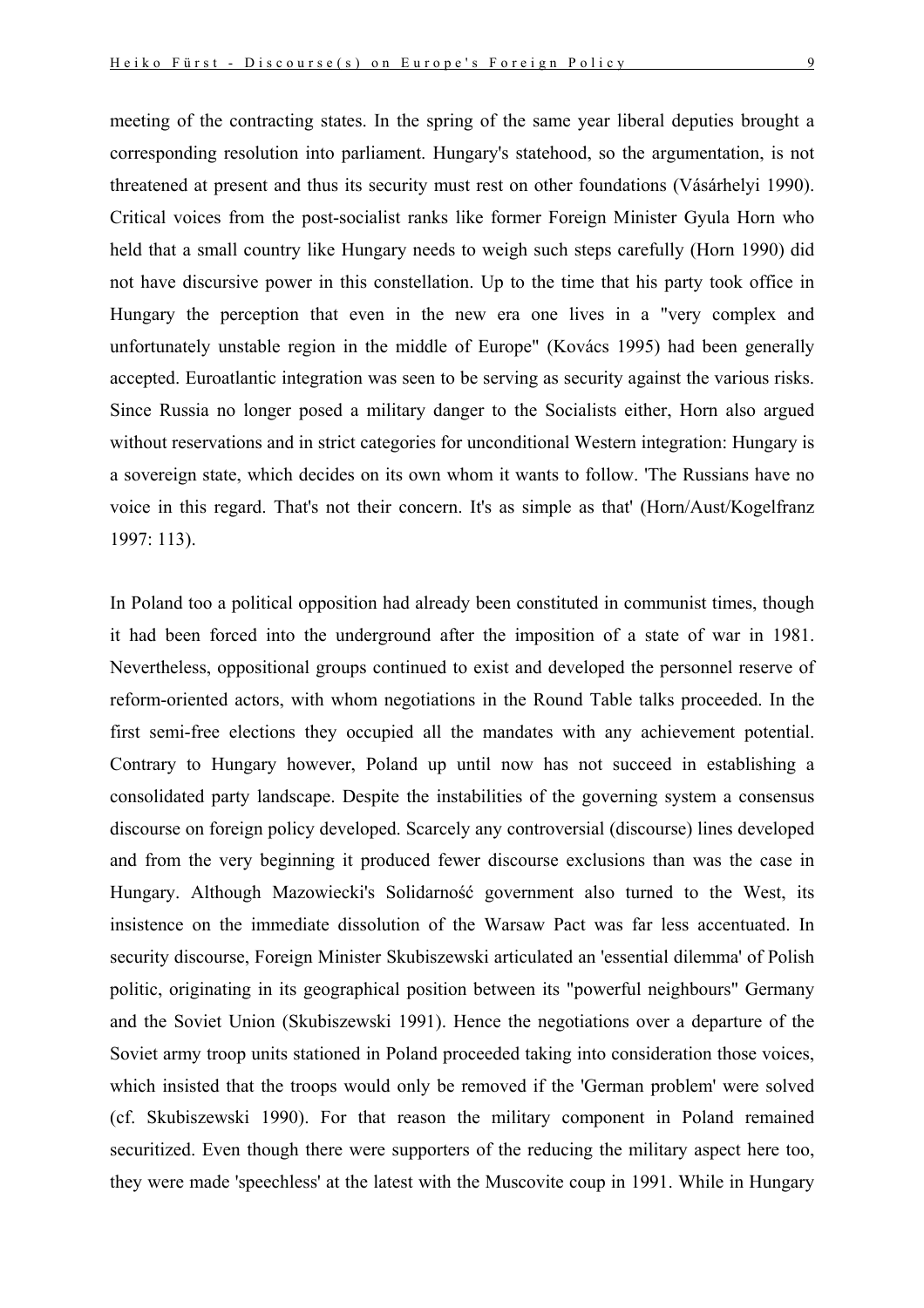meeting of the contracting states. In the spring of the same year liberal deputies brought a corresponding resolution into parliament. Hungary's statehood, so the argumentation, is not threatened at present and thus its security must rest on other foundations (Vásárhelyi 1990). Critical voices from the post-socialist ranks like former Foreign Minister Gyula Horn who held that a small country like Hungary needs to weigh such steps carefully (Horn 1990) did not have discursive power in this constellation. Up to the time that his party took office in Hungary the perception that even in the new era one lives in a "very complex and unfortunately unstable region in the middle of Europe" (Kovács 1995) had been generally accepted. Euroatlantic integration was seen to be serving as security against the various risks. Since Russia no longer posed a military danger to the Socialists either, Horn also argued without reservations and in strict categories for unconditional Western integration: Hungary is a sovereign state, which decides on its own whom it wants to follow. 'The Russians have no voice in this regard. That's not their concern. It's as simple as that' (Horn/Aust/Kogelfranz 1997: 113).

In Poland too a political opposition had already been constituted in communist times, though it had been forced into the underground after the imposition of a state of war in 1981. Nevertheless, oppositional groups continued to exist and developed the personnel reserve of reform-oriented actors, with whom negotiations in the Round Table talks proceeded. In the first semi-free elections they occupied all the mandates with any achievement potential. Contrary to Hungary however, Poland up until now has not succeed in establishing a consolidated party landscape. Despite the instabilities of the governing system a consensus discourse on foreign policy developed. Scarcely any controversial (discourse) lines developed and from the very beginning it produced fewer discourse exclusions than was the case in Hungary. Although Mazowiecki's Solidarność government also turned to the West, its insistence on the immediate dissolution of the Warsaw Pact was far less accentuated. In security discourse, Foreign Minister Skubiszewski articulated an 'essential dilemma' of Polish politic, originating in its geographical position between its "powerful neighbours" Germany and the Soviet Union (Skubiszewski 1991). Hence the negotiations over a departure of the Soviet army troop units stationed in Poland proceeded taking into consideration those voices, which insisted that the troops would only be removed if the 'German problem' were solved (cf. Skubiszewski 1990). For that reason the military component in Poland remained securitized. Even though there were supporters of the reducing the military aspect here too, they were made 'speechless' at the latest with the Muscovite coup in 1991. While in Hungary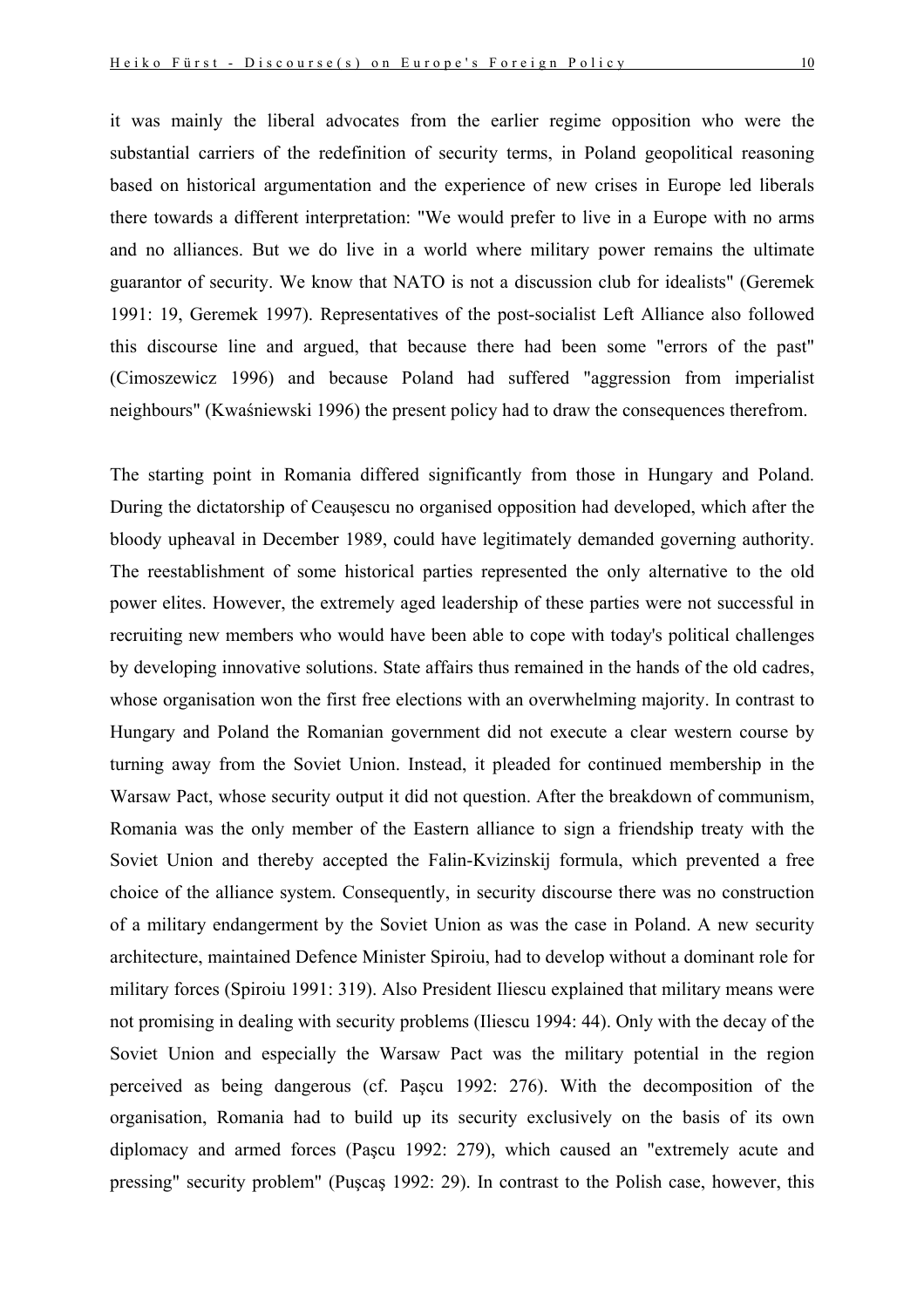it was mainly the liberal advocates from the earlier regime opposition who were the substantial carriers of the redefinition of security terms, in Poland geopolitical reasoning based on historical argumentation and the experience of new crises in Europe led liberals there towards a different interpretation: "We would prefer to live in a Europe with no arms and no alliances. But we do live in a world where military power remains the ultimate guarantor of security. We know that NATO is not a discussion club for idealists" (Geremek 1991: 19, Geremek 1997). Representatives of the post-socialist Left Alliance also followed this discourse line and argued, that because there had been some "errors of the past" (Cimoszewicz 1996) and because Poland had suffered "aggression from imperialist neighbours" (Kwaśniewski 1996) the present policy had to draw the consequences therefrom.

The starting point in Romania differed significantly from those in Hungary and Poland. During the dictatorship of Ceauşescu no organised opposition had developed, which after the bloody upheaval in December 1989, could have legitimately demanded governing authority. The reestablishment of some historical parties represented the only alternative to the old power elites. However, the extremely aged leadership of these parties were not successful in recruiting new members who would have been able to cope with today's political challenges by developing innovative solutions. State affairs thus remained in the hands of the old cadres, whose organisation won the first free elections with an overwhelming majority. In contrast to Hungary and Poland the Romanian government did not execute a clear western course by turning away from the Soviet Union. Instead, it pleaded for continued membership in the Warsaw Pact, whose security output it did not question. After the breakdown of communism, Romania was the only member of the Eastern alliance to sign a friendship treaty with the Soviet Union and thereby accepted the Falin-Kvizinskij formula, which prevented a free choice of the alliance system. Consequently, in security discourse there was no construction of a military endangerment by the Soviet Union as was the case in Poland. A new security architecture, maintained Defence Minister Spiroiu, had to develop without a dominant role for military forces (Spiroiu 1991: 319). Also President Iliescu explained that military means were not promising in dealing with security problems (Iliescu 1994: 44). Only with the decay of the Soviet Union and especially the Warsaw Pact was the military potential in the region perceived as being dangerous (cf. Paşcu 1992: 276). With the decomposition of the organisation, Romania had to build up its security exclusively on the basis of its own diplomacy and armed forces (Paşcu 1992: 279), which caused an "extremely acute and pressing" security problem" (Puşcaş 1992: 29). In contrast to the Polish case, however, this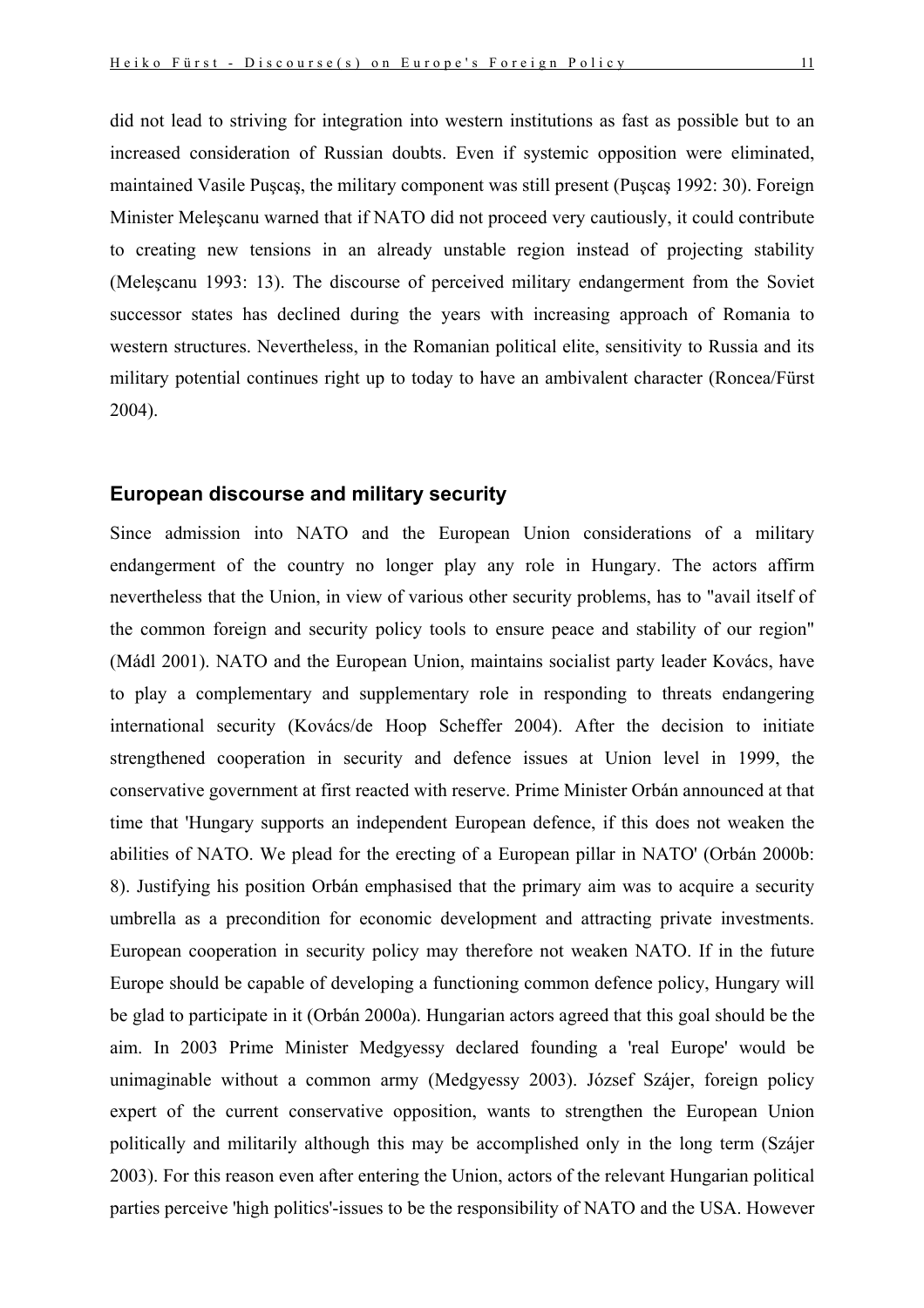did not lead to striving for integration into western institutions as fast as possible but to an increased consideration of Russian doubts. Even if systemic opposition were eliminated, maintained Vasile Puşcaş, the military component was still present (Puşcaş 1992: 30). Foreign Minister Meleşcanu warned that if NATO did not proceed very cautiously, it could contribute to creating new tensions in an already unstable region instead of projecting stability (Meleşcanu 1993: 13). The discourse of perceived military endangerment from the Soviet successor states has declined during the years with increasing approach of Romania to western structures. Nevertheless, in the Romanian political elite, sensitivity to Russia and its military potential continues right up to today to have an ambivalent character (Roncea/Fürst 2004).

### **European discourse and military security**

Since admission into NATO and the European Union considerations of a military endangerment of the country no longer play any role in Hungary. The actors affirm nevertheless that the Union, in view of various other security problems, has to "avail itself of the common foreign and security policy tools to ensure peace and stability of our region" (Mádl 2001). NATO and the European Union, maintains socialist party leader Kovács, have to play a complementary and supplementary role in responding to threats endangering international security (Kovács/de Hoop Scheffer 2004). After the decision to initiate strengthened cooperation in security and defence issues at Union level in 1999, the conservative government at first reacted with reserve. Prime Minister Orbán announced at that time that 'Hungary supports an independent European defence, if this does not weaken the abilities of NATO. We plead for the erecting of a European pillar in NATO' (Orbán 2000b: 8). Justifying his position Orbán emphasised that the primary aim was to acquire a security umbrella as a precondition for economic development and attracting private investments. European cooperation in security policy may therefore not weaken NATO. If in the future Europe should be capable of developing a functioning common defence policy, Hungary will be glad to participate in it (Orbán 2000a). Hungarian actors agreed that this goal should be the aim. In 2003 Prime Minister Medgyessy declared founding a 'real Europe' would be unimaginable without a common army (Medgyessy 2003). József Szájer, foreign policy expert of the current conservative opposition, wants to strengthen the European Union politically and militarily although this may be accomplished only in the long term (Szájer 2003). For this reason even after entering the Union, actors of the relevant Hungarian political parties perceive 'high politics'-issues to be the responsibility of NATO and the USA. However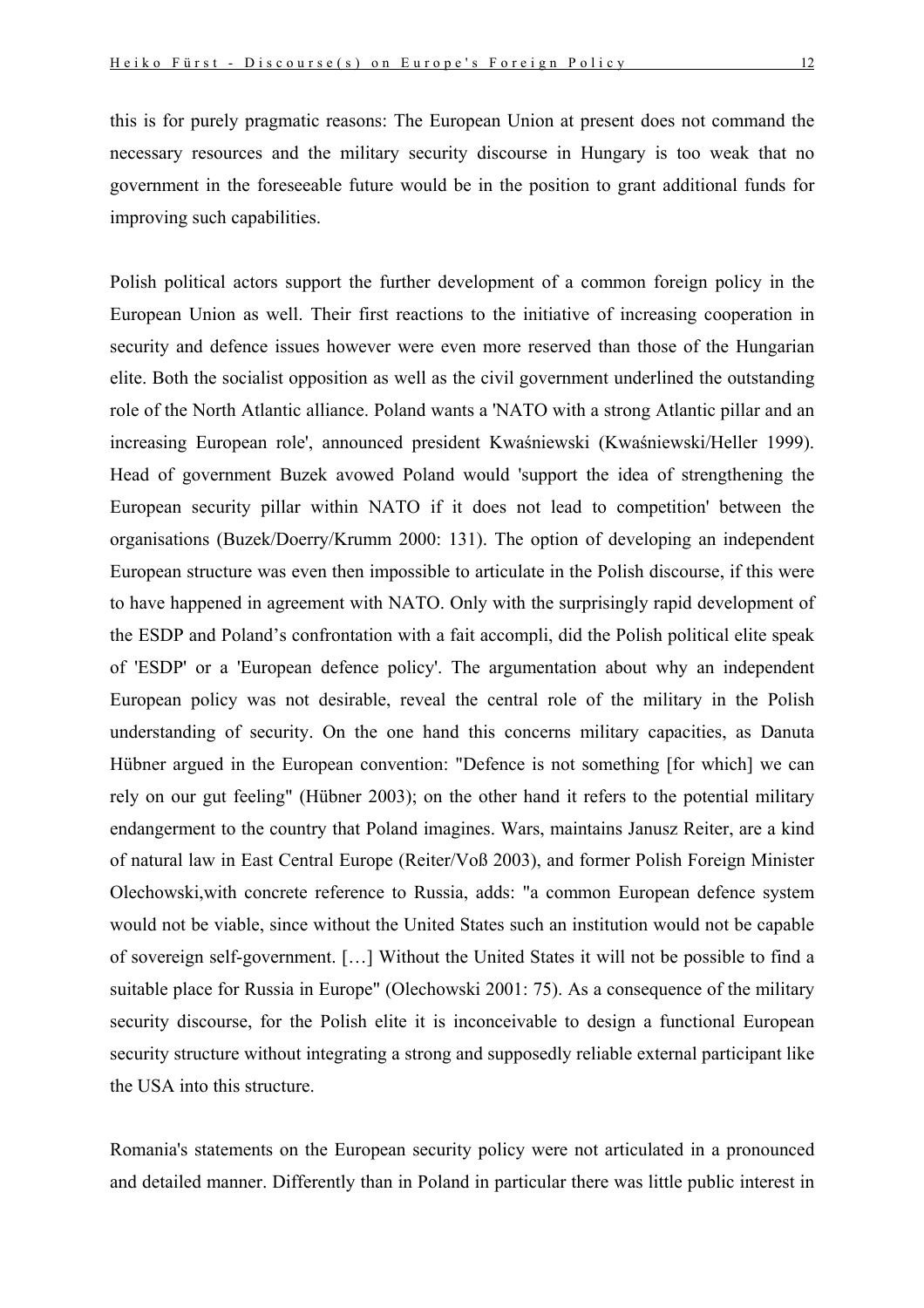this is for purely pragmatic reasons: The European Union at present does not command the necessary resources and the military security discourse in Hungary is too weak that no government in the foreseeable future would be in the position to grant additional funds for improving such capabilities.

Polish political actors support the further development of a common foreign policy in the European Union as well. Their first reactions to the initiative of increasing cooperation in security and defence issues however were even more reserved than those of the Hungarian elite. Both the socialist opposition as well as the civil government underlined the outstanding role of the North Atlantic alliance. Poland wants a 'NATO with a strong Atlantic pillar and an increasing European role', announced president Kwaśniewski (Kwaśniewski/Heller 1999). Head of government Buzek avowed Poland would 'support the idea of strengthening the European security pillar within NATO if it does not lead to competition' between the organisations (Buzek/Doerry/Krumm 2000: 131). The option of developing an independent European structure was even then impossible to articulate in the Polish discourse, if this were to have happened in agreement with NATO. Only with the surprisingly rapid development of the ESDP and Poland's confrontation with a fait accompli, did the Polish political elite speak of 'ESDP' or a 'European defence policy'. The argumentation about why an independent European policy was not desirable, reveal the central role of the military in the Polish understanding of security. On the one hand this concerns military capacities, as Danuta Hübner argued in the European convention: "Defence is not something [for which] we can rely on our gut feeling" (Hübner 2003); on the other hand it refers to the potential military endangerment to the country that Poland imagines. Wars, maintains Janusz Reiter, are a kind of natural law in East Central Europe (Reiter/Voß 2003), and former Polish Foreign Minister Olechowski,with concrete reference to Russia, adds: "a common European defence system would not be viable, since without the United States such an institution would not be capable of sovereign self-government. […] Without the United States it will not be possible to find a suitable place for Russia in Europe" (Olechowski 2001: 75). As a consequence of the military security discourse, for the Polish elite it is inconceivable to design a functional European security structure without integrating a strong and supposedly reliable external participant like the USA into this structure.

Romania's statements on the European security policy were not articulated in a pronounced and detailed manner. Differently than in Poland in particular there was little public interest in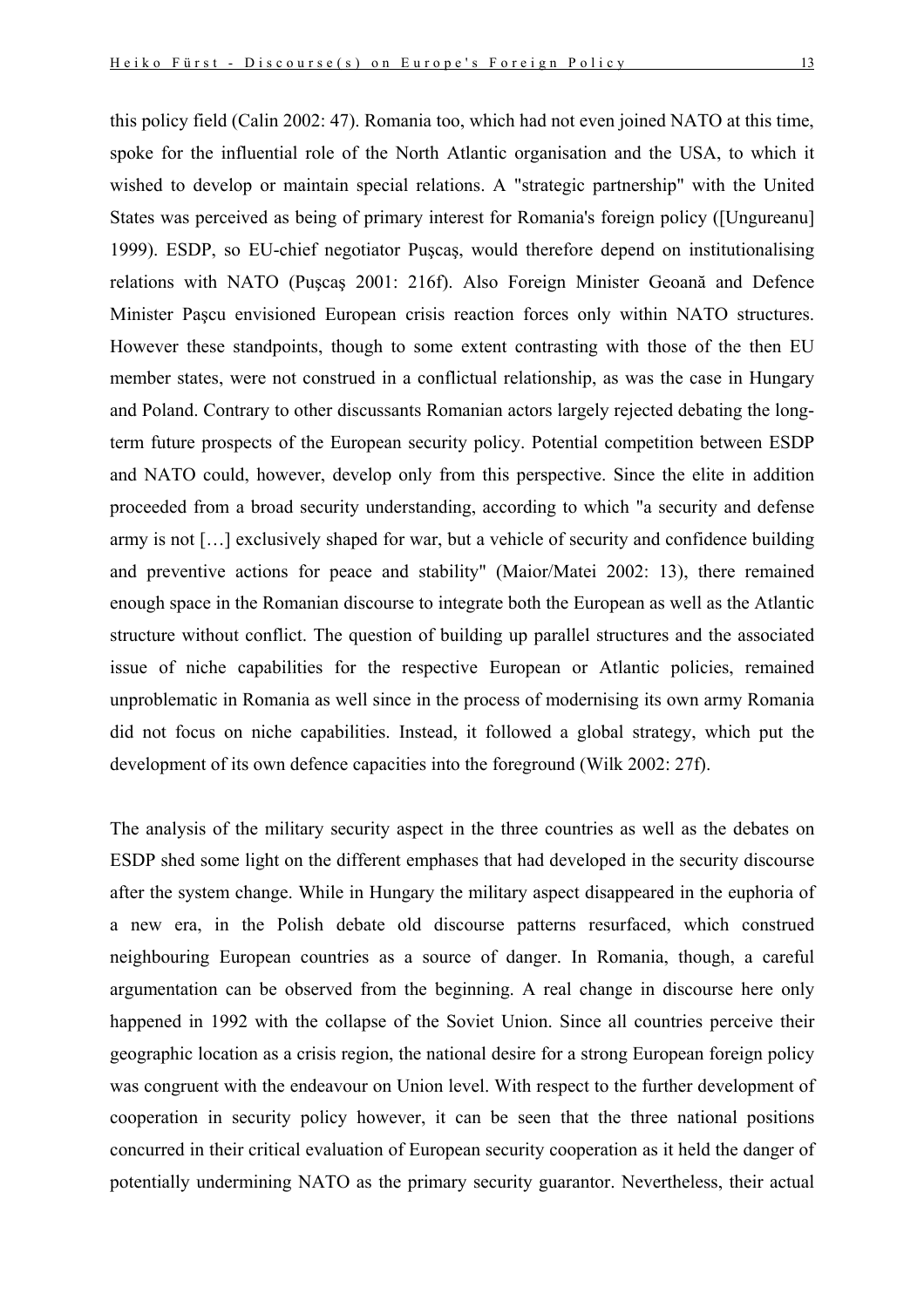this policy field (Calin 2002: 47). Romania too, which had not even joined NATO at this time, spoke for the influential role of the North Atlantic organisation and the USA, to which it wished to develop or maintain special relations. A "strategic partnership" with the United States was perceived as being of primary interest for Romania's foreign policy ([Ungureanu] 1999). ESDP, so EU-chief negotiator Puşcaş, would therefore depend on institutionalising relations with NATO (Puşcaş 2001: 216f). Also Foreign Minister Geoană and Defence Minister Paşcu envisioned European crisis reaction forces only within NATO structures. However these standpoints, though to some extent contrasting with those of the then EU member states, were not construed in a conflictual relationship, as was the case in Hungary and Poland. Contrary to other discussants Romanian actors largely rejected debating the longterm future prospects of the European security policy. Potential competition between ESDP and NATO could, however, develop only from this perspective. Since the elite in addition proceeded from a broad security understanding, according to which "a security and defense army is not […] exclusively shaped for war, but a vehicle of security and confidence building and preventive actions for peace and stability" (Maior/Matei 2002: 13), there remained enough space in the Romanian discourse to integrate both the European as well as the Atlantic structure without conflict. The question of building up parallel structures and the associated issue of niche capabilities for the respective European or Atlantic policies, remained unproblematic in Romania as well since in the process of modernising its own army Romania did not focus on niche capabilities. Instead, it followed a global strategy, which put the development of its own defence capacities into the foreground (Wilk 2002: 27f).

The analysis of the military security aspect in the three countries as well as the debates on ESDP shed some light on the different emphases that had developed in the security discourse after the system change. While in Hungary the military aspect disappeared in the euphoria of a new era, in the Polish debate old discourse patterns resurfaced, which construed neighbouring European countries as a source of danger. In Romania, though, a careful argumentation can be observed from the beginning. A real change in discourse here only happened in 1992 with the collapse of the Soviet Union. Since all countries perceive their geographic location as a crisis region, the national desire for a strong European foreign policy was congruent with the endeavour on Union level. With respect to the further development of cooperation in security policy however, it can be seen that the three national positions concurred in their critical evaluation of European security cooperation as it held the danger of potentially undermining NATO as the primary security guarantor. Nevertheless, their actual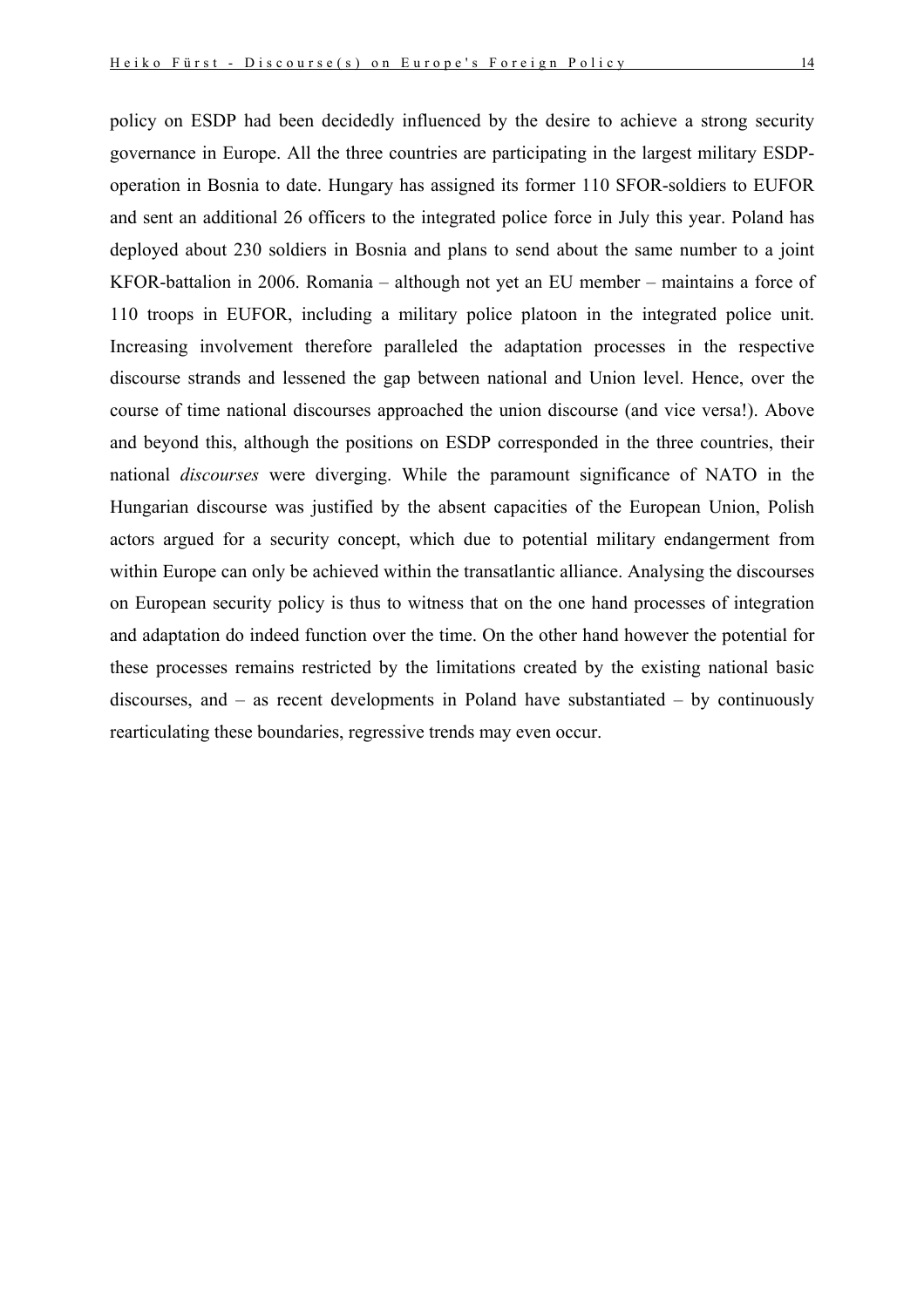policy on ESDP had been decidedly influenced by the desire to achieve a strong security governance in Europe. All the three countries are participating in the largest military ESDPoperation in Bosnia to date. Hungary has assigned its former 110 SFOR-soldiers to EUFOR and sent an additional 26 officers to the integrated police force in July this year. Poland has deployed about 230 soldiers in Bosnia and plans to send about the same number to a joint KFOR-battalion in 2006. Romania – although not yet an EU member – maintains a force of 110 troops in EUFOR, including a military police platoon in the integrated police unit. Increasing involvement therefore paralleled the adaptation processes in the respective discourse strands and lessened the gap between national and Union level. Hence, over the course of time national discourses approached the union discourse (and vice versa!). Above and beyond this, although the positions on ESDP corresponded in the three countries, their national *discourses* were diverging. While the paramount significance of NATO in the Hungarian discourse was justified by the absent capacities of the European Union, Polish actors argued for a security concept, which due to potential military endangerment from within Europe can only be achieved within the transatlantic alliance. Analysing the discourses on European security policy is thus to witness that on the one hand processes of integration and adaptation do indeed function over the time. On the other hand however the potential for these processes remains restricted by the limitations created by the existing national basic discourses, and – as recent developments in Poland have substantiated – by continuously rearticulating these boundaries, regressive trends may even occur.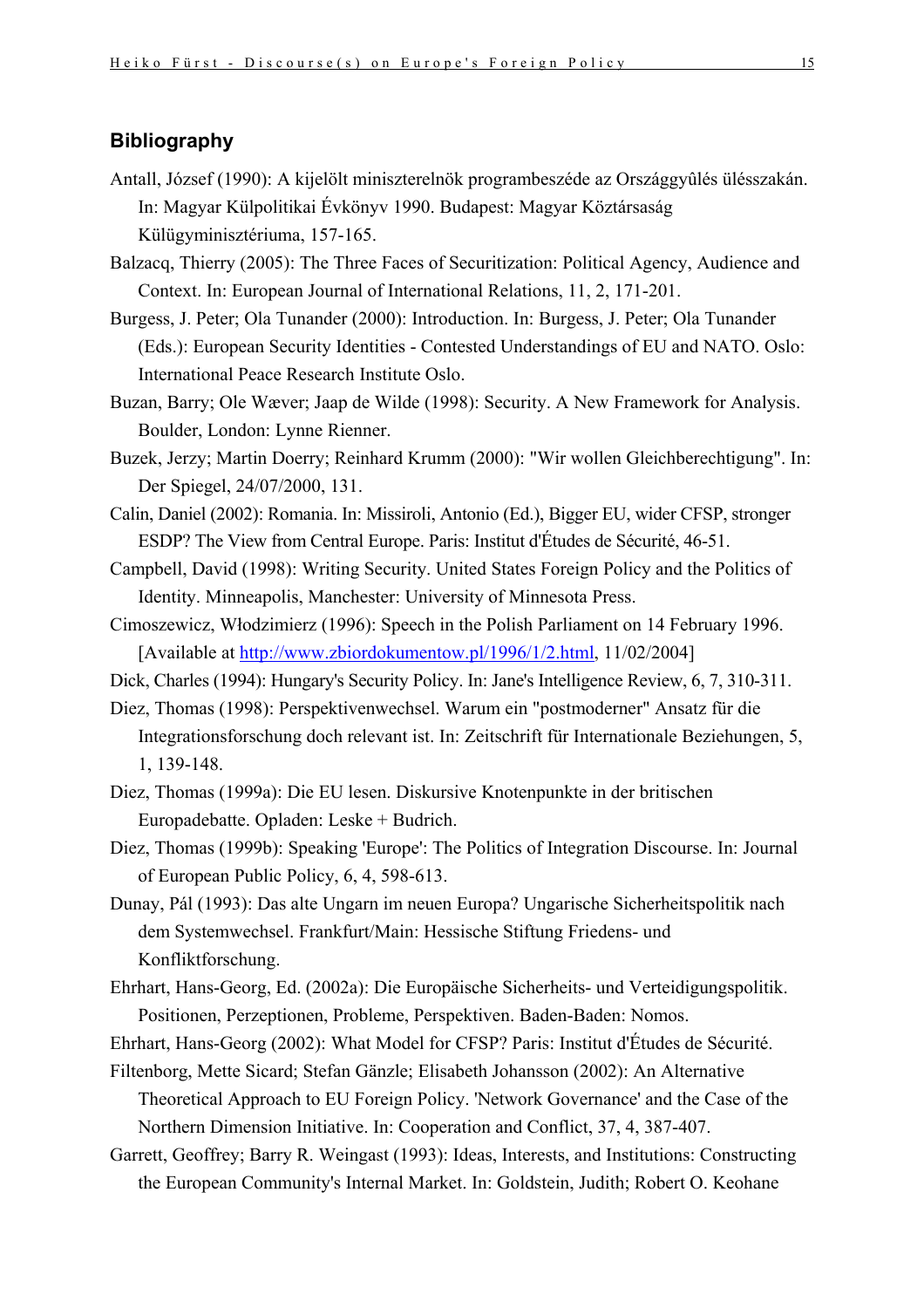# **Bibliography**

- Antall, József (1990): A kijelölt miniszterelnök programbeszéde az Országgyûlés ülésszakán. In: Magyar Külpolitikai Évkönyv 1990. Budapest: Magyar Köztársaság Külügyminisztériuma, 157-165.
- Balzacq, Thierry (2005): The Three Faces of Securitization: Political Agency, Audience and Context. In: European Journal of International Relations, 11, 2, 171-201.
- Burgess, J. Peter; Ola Tunander (2000): Introduction. In: Burgess, J. Peter; Ola Tunander (Eds.): European Security Identities - Contested Understandings of EU and NATO. Oslo: International Peace Research Institute Oslo.
- Buzan, Barry; Ole Wæver; Jaap de Wilde (1998): Security. A New Framework for Analysis. Boulder, London: Lynne Rienner.
- Buzek, Jerzy; Martin Doerry; Reinhard Krumm (2000): "Wir wollen Gleichberechtigung". In: Der Spiegel, 24/07/2000, 131.
- Calin, Daniel (2002): Romania. In: Missiroli, Antonio (Ed.), Bigger EU, wider CFSP, stronger ESDP? The View from Central Europe. Paris: Institut d'Études de Sécurité, 46-51.
- Campbell, David (1998): Writing Security. United States Foreign Policy and the Politics of Identity. Minneapolis, Manchester: University of Minnesota Press.
- Cimoszewicz, Włodzimierz (1996): Speech in the Polish Parliament on 14 February 1996. [Available at [http://www.zbiordokumentow.pl/1996/1/2.html,](http://www.zbiordokumentow.pl/1996/1/2.html) 11/02/2004]
- Dick, Charles (1994): Hungary's Security Policy. In: Jane's Intelligence Review, 6, 7, 310-311.
- Diez, Thomas (1998): Perspektivenwechsel. Warum ein "postmoderner" Ansatz für die Integrationsforschung doch relevant ist. In: Zeitschrift für Internationale Beziehungen, 5, 1, 139-148.
- Diez, Thomas (1999a): Die EU lesen. Diskursive Knotenpunkte in der britischen Europadebatte. Opladen: Leske + Budrich.
- Diez, Thomas (1999b): Speaking 'Europe': The Politics of Integration Discourse. In: Journal of European Public Policy, 6, 4, 598-613.
- Dunay, Pál (1993): Das alte Ungarn im neuen Europa? Ungarische Sicherheitspolitik nach dem Systemwechsel. Frankfurt/Main: Hessische Stiftung Friedens- und Konfliktforschung.
- Ehrhart, Hans-Georg, Ed. (2002a): Die Europäische Sicherheits- und Verteidigungspolitik. Positionen, Perzeptionen, Probleme, Perspektiven. Baden-Baden: Nomos.
- Ehrhart, Hans-Georg (2002): What Model for CFSP? Paris: Institut d'Études de Sécurité.
- Filtenborg, Mette Sicard; Stefan Gänzle; Elisabeth Johansson (2002): An Alternative Theoretical Approach to EU Foreign Policy. 'Network Governance' and the Case of the Northern Dimension Initiative. In: Cooperation and Conflict, 37, 4, 387-407.
- Garrett, Geoffrey; Barry R. Weingast (1993): Ideas, Interests, and Institutions: Constructing the European Community's Internal Market. In: Goldstein, Judith; Robert O. Keohane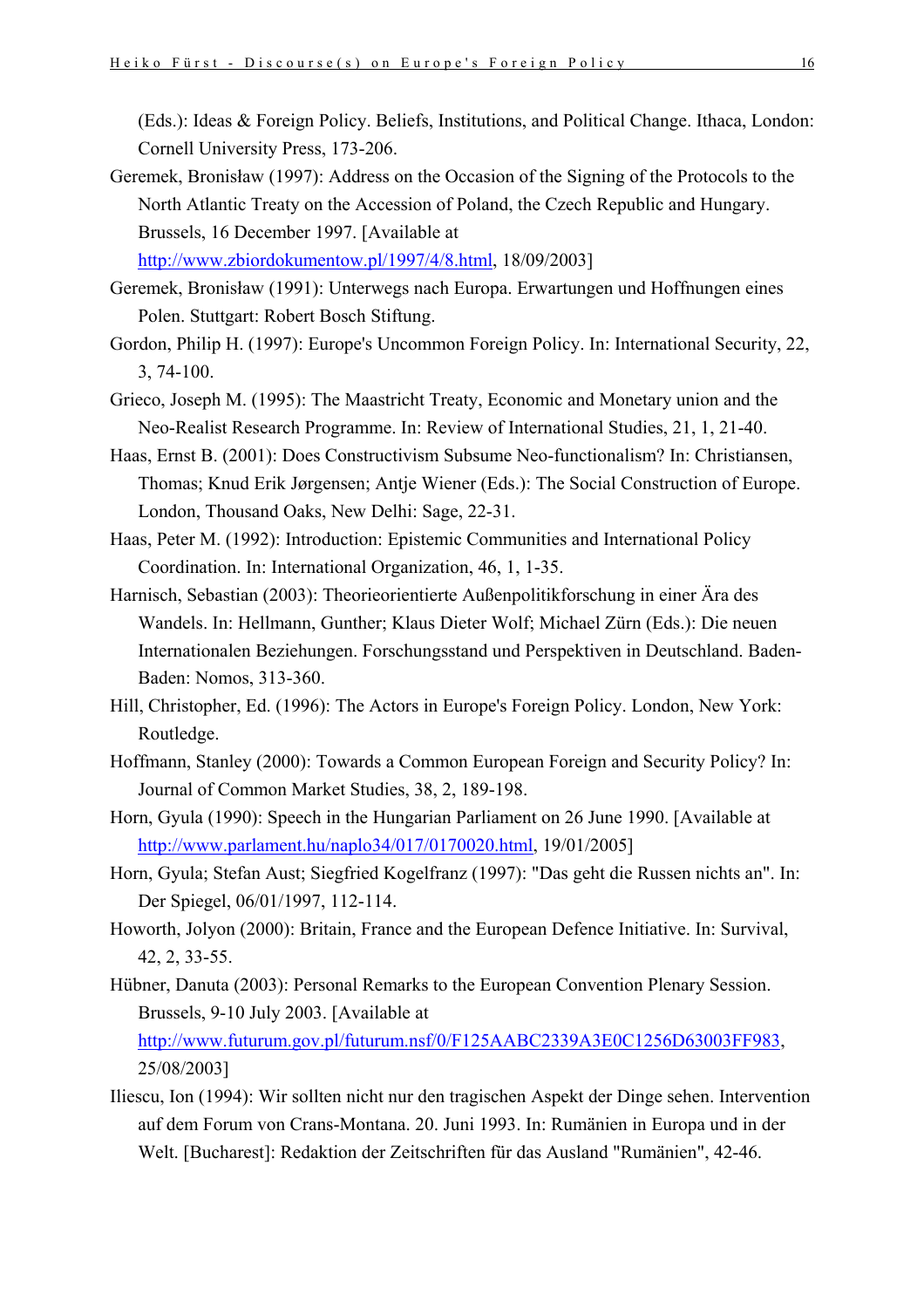(Eds.): Ideas & Foreign Policy. Beliefs, Institutions, and Political Change. Ithaca, London: Cornell University Press, 173-206.

- Geremek, Bronisław (1997): Address on the Occasion of the Signing of the Protocols to the North Atlantic Treaty on the Accession of Poland, the Czech Republic and Hungary. Brussels, 16 December 1997. [Available at <http://www.zbiordokumentow.pl/1997/4/8.html>, 18/09/2003]
- Geremek, Bronisław (1991): Unterwegs nach Europa. Erwartungen und Hoffnungen eines Polen. Stuttgart: Robert Bosch Stiftung.
- Gordon, Philip H. (1997): Europe's Uncommon Foreign Policy. In: International Security, 22, 3, 74-100.
- Grieco, Joseph M. (1995): The Maastricht Treaty, Economic and Monetary union and the Neo-Realist Research Programme. In: Review of International Studies, 21, 1, 21-40.
- Haas, Ernst B. (2001): Does Constructivism Subsume Neo-functionalism? In: Christiansen, Thomas; Knud Erik Jørgensen; Antje Wiener (Eds.): The Social Construction of Europe. London, Thousand Oaks, New Delhi: Sage, 22-31.
- Haas, Peter M. (1992): Introduction: Epistemic Communities and International Policy Coordination. In: International Organization, 46, 1, 1-35.
- Harnisch, Sebastian (2003): Theorieorientierte Außenpolitikforschung in einer Ära des Wandels. In: Hellmann, Gunther; Klaus Dieter Wolf; Michael Zürn (Eds.): Die neuen Internationalen Beziehungen. Forschungsstand und Perspektiven in Deutschland. Baden-Baden: Nomos, 313-360.
- Hill, Christopher, Ed. (1996): The Actors in Europe's Foreign Policy. London, New York: Routledge.
- Hoffmann, Stanley (2000): Towards a Common European Foreign and Security Policy? In: Journal of Common Market Studies, 38, 2, 189-198.
- Horn, Gyula (1990): Speech in the Hungarian Parliament on 26 June 1990. [Available at <http://www.parlament.hu/naplo34/017/0170020.html>, 19/01/2005]
- Horn, Gyula; Stefan Aust; Siegfried Kogelfranz (1997): "Das geht die Russen nichts an". In: Der Spiegel, 06/01/1997, 112-114.
- Howorth, Jolyon (2000): Britain, France and the European Defence Initiative. In: Survival, 42, 2, 33-55.
- Hübner, Danuta (2003): Personal Remarks to the European Convention Plenary Session. Brussels, 9-10 July 2003. [Available at [http://www.futurum.gov.pl/futurum.nsf/0/F125AABC2339A3E0C1256D63003FF983,](http://www.futurum.gov.pl/futurum.nsf/0/F125AABC2339A3E0C1256D63003FF983) 25/08/2003]
- Iliescu, Ion (1994): Wir sollten nicht nur den tragischen Aspekt der Dinge sehen. Intervention auf dem Forum von Crans-Montana. 20. Juni 1993. In: Rumänien in Europa und in der Welt. [Bucharest]: Redaktion der Zeitschriften für das Ausland "Rumänien", 42-46.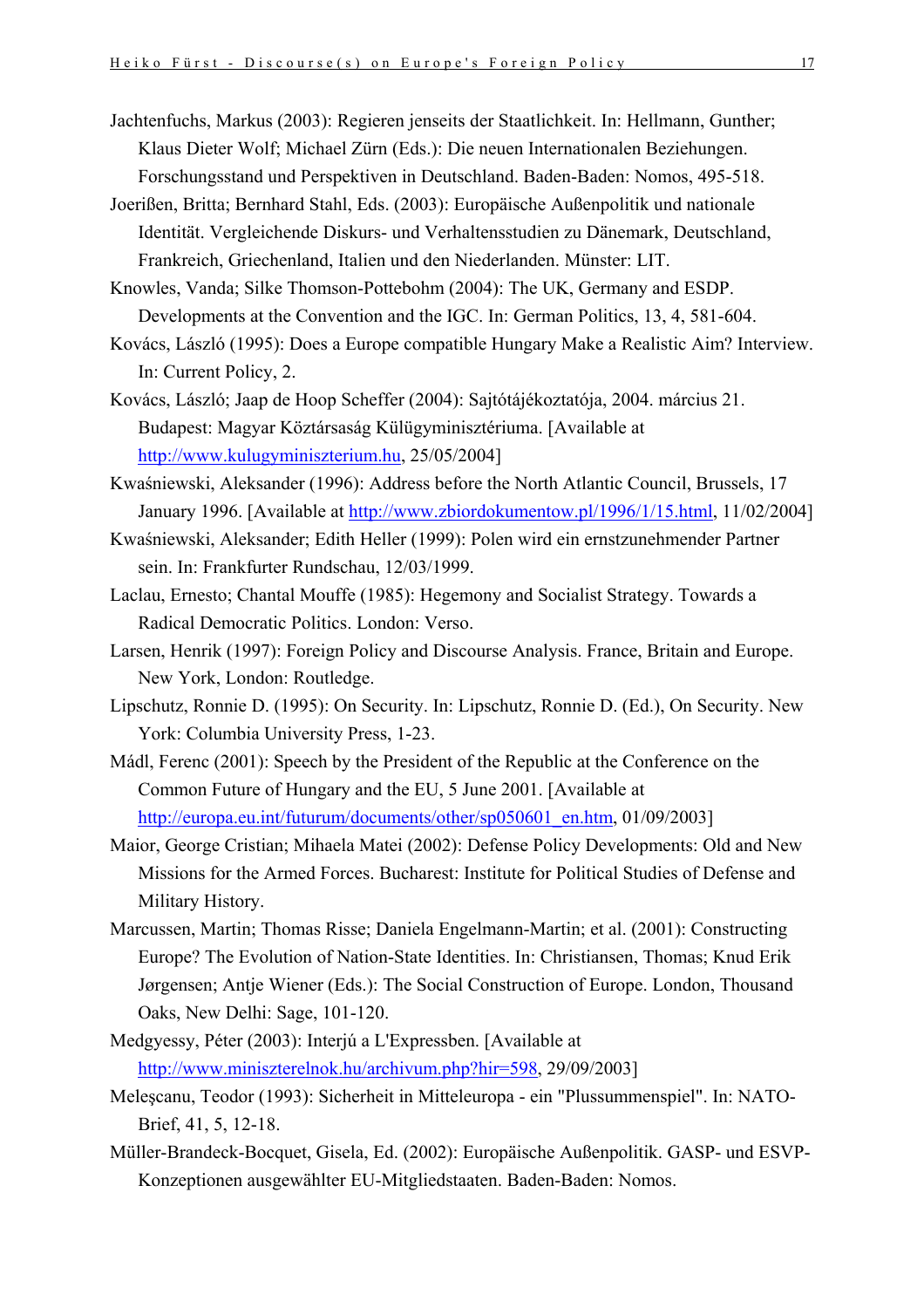- Jachtenfuchs, Markus (2003): Regieren jenseits der Staatlichkeit. In: Hellmann, Gunther; Klaus Dieter Wolf; Michael Zürn (Eds.): Die neuen Internationalen Beziehungen. Forschungsstand und Perspektiven in Deutschland. Baden-Baden: Nomos, 495-518.
- Joerißen, Britta; Bernhard Stahl, Eds. (2003): Europäische Außenpolitik und nationale Identität. Vergleichende Diskurs- und Verhaltensstudien zu Dänemark, Deutschland, Frankreich, Griechenland, Italien und den Niederlanden. Münster: LIT.
- Knowles, Vanda; Silke Thomson-Pottebohm (2004): The UK, Germany and ESDP. Developments at the Convention and the IGC. In: German Politics, 13, 4, 581-604.
- Kovács, László (1995): Does a Europe compatible Hungary Make a Realistic Aim? Interview. In: Current Policy, 2.
- Kovács, László; Jaap de Hoop Scheffer (2004): Sajtótájékoztatója, 2004. március 21. Budapest: Magyar Köztársaság Külügyminisztériuma. [Available at [http://www.kulugyminiszterium.hu](http://www.kulugyminiszterium.hu/), 25/05/2004]
- Kwaśniewski, Aleksander (1996): Address before the North Atlantic Council, Brussels, 17 January 1996. [Available at <http://www.zbiordokumentow.pl/1996/1/15.html>, 11/02/2004]
- Kwaśniewski, Aleksander; Edith Heller (1999): Polen wird ein ernstzunehmender Partner sein. In: Frankfurter Rundschau, 12/03/1999.
- Laclau, Ernesto; Chantal Mouffe (1985): Hegemony and Socialist Strategy. Towards a Radical Democratic Politics. London: Verso.
- Larsen, Henrik (1997): Foreign Policy and Discourse Analysis. France, Britain and Europe. New York, London: Routledge.
- Lipschutz, Ronnie D. (1995): On Security. In: Lipschutz, Ronnie D. (Ed.), On Security. New York: Columbia University Press, 1-23.
- Mádl, Ferenc (2001): Speech by the President of the Republic at the Conference on the Common Future of Hungary and the EU, 5 June 2001. [Available at [http://europa.eu.int/futurum/documents/other/sp050601\\_en.htm,](http://europa.eu.int/futurum/documents/other/sp050601_en.htm) 01/09/2003]
- Maior, George Cristian; Mihaela Matei (2002): Defense Policy Developments: Old and New Missions for the Armed Forces. Bucharest: Institute for Political Studies of Defense and Military History.
- Marcussen, Martin; Thomas Risse; Daniela Engelmann-Martin; et al. (2001): Constructing Europe? The Evolution of Nation-State Identities. In: Christiansen, Thomas; Knud Erik Jørgensen; Antje Wiener (Eds.): The Social Construction of Europe. London, Thousand Oaks, New Delhi: Sage, 101-120.
- Medgyessy, Péter (2003): Interjú a L'Expressben. [Available at <http://www.miniszterelnok.hu/archivum.php?hir=598>, 29/09/2003]
- Meleşcanu, Teodor (1993): Sicherheit in Mitteleuropa ein "Plussummenspiel". In: NATO-Brief, 41, 5, 12-18.
- Müller-Brandeck-Bocquet, Gisela, Ed. (2002): Europäische Außenpolitik. GASP- und ESVP-Konzeptionen ausgewählter EU-Mitgliedstaaten. Baden-Baden: Nomos.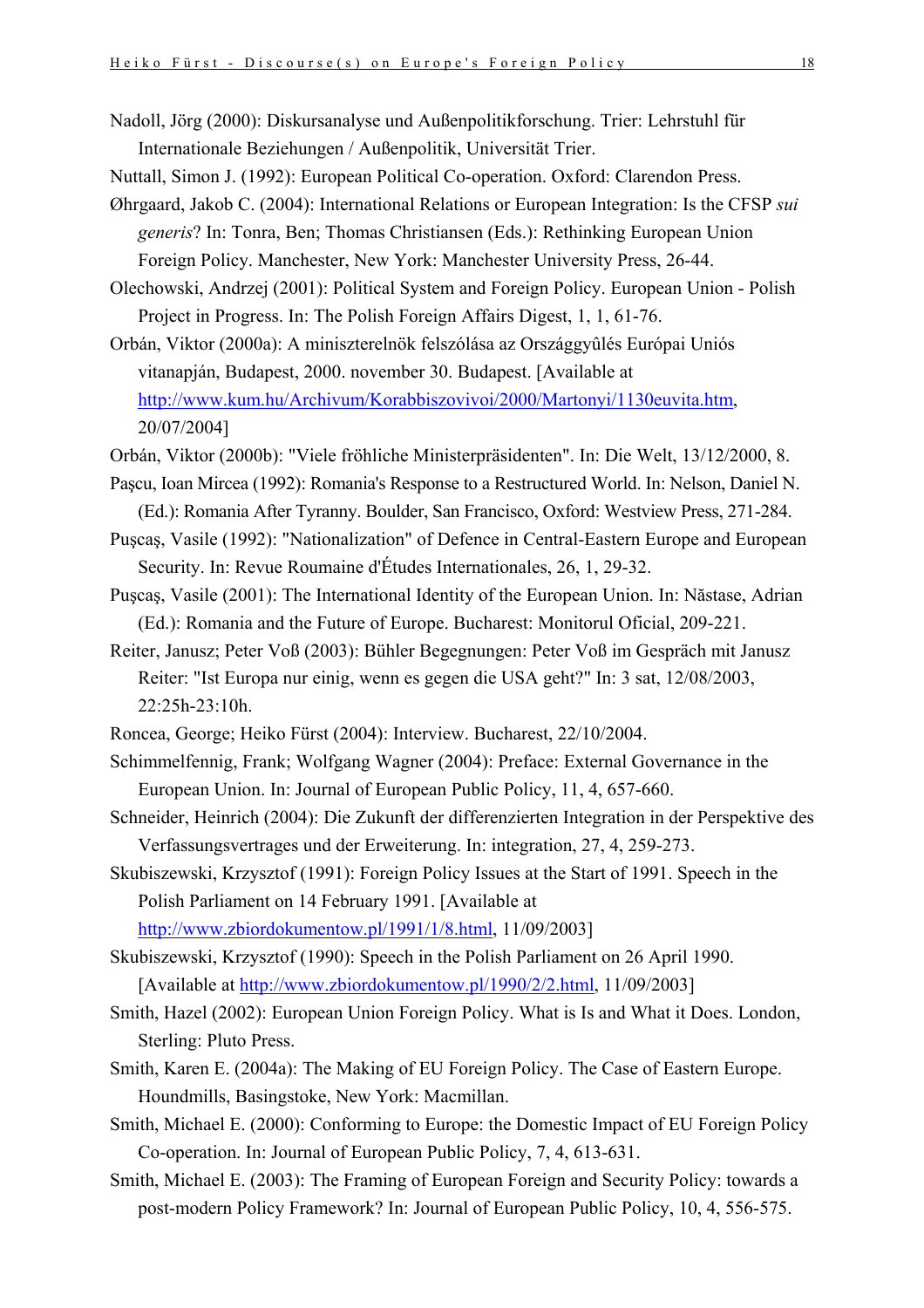- Nadoll, Jörg (2000): Diskursanalyse und Außenpolitikforschung. Trier: Lehrstuhl für Internationale Beziehungen / Außenpolitik, Universität Trier.
- Nuttall, Simon J. (1992): European Political Co-operation. Oxford: Clarendon Press.
- Øhrgaard, Jakob C. (2004): International Relations or European Integration: Is the CFSP *sui generis*? In: Tonra, Ben; Thomas Christiansen (Eds.): Rethinking European Union Foreign Policy. Manchester, New York: Manchester University Press, 26-44.
- Olechowski, Andrzej (2001): Political System and Foreign Policy. European Union Polish Project in Progress. In: The Polish Foreign Affairs Digest, 1, 1, 61-76.
- Orbán, Viktor (2000a): A miniszterelnök felszólása az Országgyûlés Európai Uniós vitanapján, Budapest, 2000. november 30. Budapest. [Available at <http://www.kum.hu/Archivum/Korabbiszovivoi/2000/Martonyi/1130euvita.htm>, 20/07/2004]
- Orbán, Viktor (2000b): "Viele fröhliche Ministerpräsidenten". In: Die Welt, 13/12/2000, 8.
- Paşcu, Ioan Mircea (1992): Romania's Response to a Restructured World. In: Nelson, Daniel N. (Ed.): Romania After Tyranny. Boulder, San Francisco, Oxford: Westview Press, 271-284.
- Puşcaş, Vasile (1992): "Nationalization" of Defence in Central-Eastern Europe and European Security. In: Revue Roumaine d'Études Internationales, 26, 1, 29-32.
- Puşcaş, Vasile (2001): The International Identity of the European Union. In: Năstase, Adrian (Ed.): Romania and the Future of Europe. Bucharest: Monitorul Oficial, 209-221.
- Reiter, Janusz; Peter Voß (2003): Bühler Begegnungen: Peter Voß im Gespräch mit Janusz Reiter: "Ist Europa nur einig, wenn es gegen die USA geht?" In: 3 sat, 12/08/2003, 22:25h-23:10h.
- Roncea, George; Heiko Fürst (2004): Interview. Bucharest, 22/10/2004.
- Schimmelfennig, Frank; Wolfgang Wagner (2004): Preface: External Governance in the European Union. In: Journal of European Public Policy, 11, 4, 657-660.
- Schneider, Heinrich (2004): Die Zukunft der differenzierten Integration in der Perspektive des Verfassungsvertrages und der Erweiterung. In: integration, 27, 4, 259-273.
- Skubiszewski, Krzysztof (1991): Foreign Policy Issues at the Start of 1991. Speech in the Polish Parliament on 14 February 1991. [Available at <http://www.zbiordokumentow.pl/1991/1/8.html>, 11/09/2003]
- Skubiszewski, Krzysztof (1990): Speech in the Polish Parliament on 26 April 1990. [Available at [http://www.zbiordokumentow.pl/1990/2/2.html,](http://www.zbiordokumentow.pl/1990/2/2.html) 11/09/2003]
- Smith, Hazel (2002): European Union Foreign Policy. What is Is and What it Does. London, Sterling: Pluto Press.
- Smith, Karen E. (2004a): The Making of EU Foreign Policy. The Case of Eastern Europe. Houndmills, Basingstoke, New York: Macmillan.
- Smith, Michael E. (2000): Conforming to Europe: the Domestic Impact of EU Foreign Policy Co-operation. In: Journal of European Public Policy, 7, 4, 613-631.
- Smith, Michael E. (2003): The Framing of European Foreign and Security Policy: towards a post-modern Policy Framework? In: Journal of European Public Policy, 10, 4, 556-575.